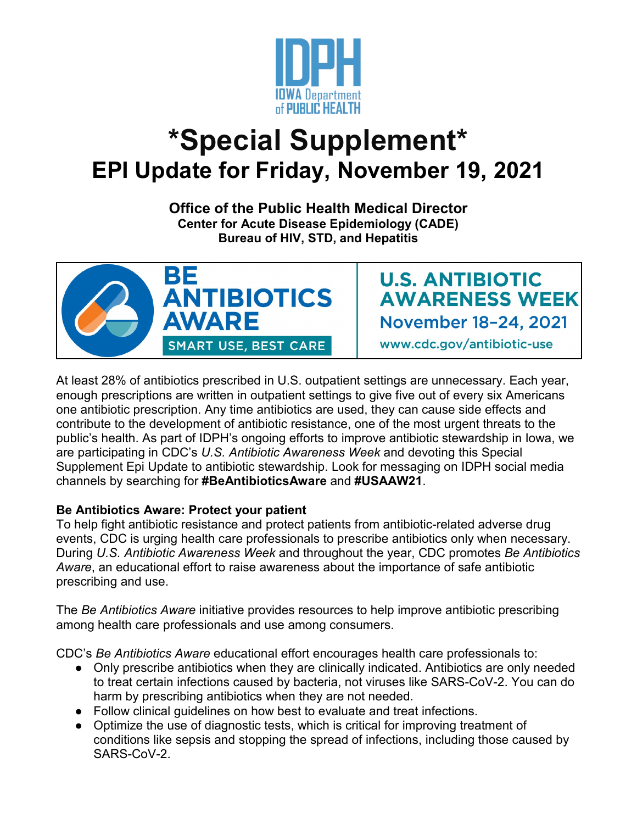

## **\*Special Supplement\* EPI Update for Friday, November 19, 2021**

**Office of the Public Health Medical Director Center for Acute Disease Epidemiology (CADE) Bureau of HIV, STD, and Hepatitis**



**U.S. ANTIBIOTIC AWARENESS WEEK** November 18-24, 2021

www.cdc.gov/antibiotic-use

At least 28% of antibiotics prescribed in U.S. outpatient settings are unnecessary. Each year, enough prescriptions are written in outpatient settings to give five out of every six Americans one antibiotic prescription. Any time antibiotics are used, they can cause side effects and contribute to the development of antibiotic resistance, one of the most urgent threats to the public's health. As part of IDPH's ongoing efforts to improve antibiotic stewardship in Iowa, we are participating in CDC's *U.S. Antibiotic Awareness Week* and devoting this Special Supplement Epi Update to antibiotic stewardship. Look for messaging on IDPH social media channels by searching for **#BeAntibioticsAware** and **#USAAW21**.

## **Be Antibiotics Aware: Protect your patient**

To help fight antibiotic resistance and protect patients from antibiotic-related adverse drug events, CDC is urging health care professionals to prescribe antibiotics only when necessary. During *U.S. Antibiotic Awareness Week* and throughout the year, CDC promotes *Be Antibiotics Aware*, an educational effort to raise awareness about the importance of safe antibiotic prescribing and use.

The *Be Antibiotics Aware* initiative provides resources to help improve antibiotic prescribing among health care professionals and use among consumers.

CDC's *Be Antibiotics Aware* educational effort encourages health care professionals to:

- Only prescribe antibiotics when they are clinically indicated. Antibiotics are only needed to treat certain infections caused by bacteria, not viruses like SARS-CoV-2. You can do harm by prescribing antibiotics when they are not needed.
- Follow clinical guidelines on how best to evaluate and treat infections.
- Optimize the use of diagnostic tests, which is critical for improving treatment of conditions like sepsis and stopping the spread of infections, including those caused by SARS-CoV-2.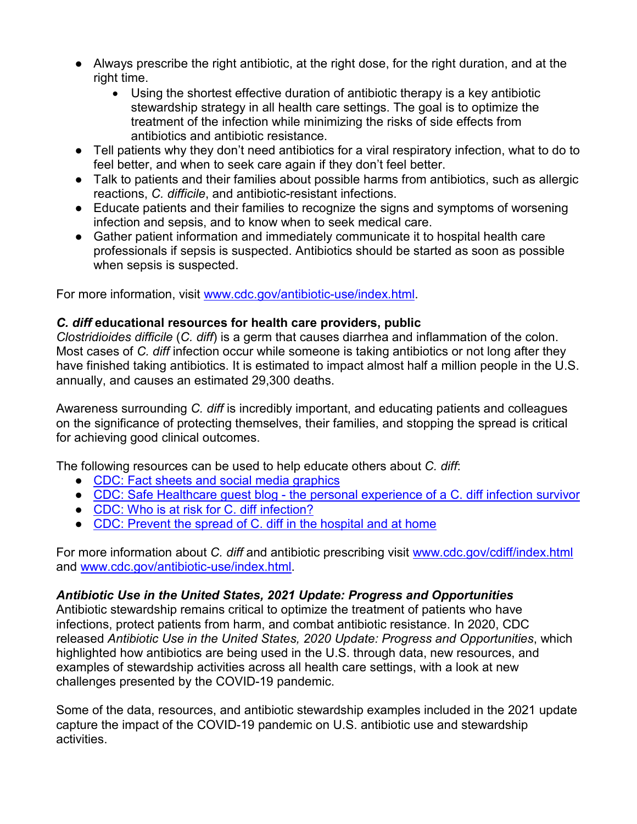- Always prescribe the right antibiotic, at the right dose, for the right duration, and at the right time.
	- Using the shortest effective duration of antibiotic therapy is a key antibiotic stewardship strategy in all health care settings. The goal is to optimize the treatment of the infection while minimizing the risks of side effects from antibiotics and antibiotic resistance.
- Tell patients why they don't need antibiotics for a viral respiratory infection, what to do to feel better, and when to seek care again if they don't feel better.
- Talk to patients and their families about possible harms from antibiotics, such as allergic reactions, *C. difficile*, and antibiotic-resistant infections.
- Educate patients and their families to recognize the signs and symptoms of worsening infection and sepsis, and to know when to seek medical care.
- Gather patient information and immediately communicate it to hospital health care professionals if sepsis is suspected. Antibiotics should be started as soon as possible when sepsis is suspected.

For more information, visit [www.cdc.gov/antibiotic-use/index.html.](http://www.cdc.gov/antibiotic-use/index.html)

## *C. diff* **educational resources for health care providers, public**

*Clostridioides difficile* (*C. diff*) is a germ that causes diarrhea and inflammation of the colon. Most cases of *C. diff* infection occur while someone is taking antibiotics or not long after they have finished taking antibiotics. It is estimated to impact almost half a million people in the U.S. annually, and causes an estimated 29,300 deaths.

Awareness surrounding *C. diff* is incredibly important, and educating patients and colleagues on the significance of protecting themselves, their families, and stopping the spread is critical for achieving good clinical outcomes.

The following resources can be used to help educate others about *C. diff*:

- [CDC: Fact sheets and social media graphics](https://www.cdc.gov/cdiff/materials.html?ACSTrackingID=USCDC_426-DM69158&ACSTrackingLabel=November%20is%20C.%20diff%20Awareness%20Month&deliveryName=USCDC_426-DM69158)
- CDC: Safe Healthcare guest blog [the personal experience of a C. diff](https://blogs.cdc.gov/safehealthcare/finding-my-voice-as-a-cdiff-patient/) infection survivor
- [CDC: Who is at risk for C. diff infection?](https://www.cdc.gov/cdiff/risk.html)
- [CDC: Prevent the spread of C. diff in the hospital and at home](https://www.cdc.gov/cdiff/prevent.html?ACSTrackingID=USCDC_426-DM69158&ACSTrackingLabel=November%20is%20C.%20diff%20Awareness%20Month&deliveryName=USCDC_426-DM69158)

For more information about *C. diff* and antibiotic prescribing visit [www.cdc.gov/cdiff/index.html](http://www.cdc.gov/cdiff/index.html) and [www.cdc.gov/antibiotic-use/index.html.](http://www.cdc.gov/antibiotic-use/index.html)

## *Antibiotic Use in the United States, 2021 Update: Progress and Opportunities*

Antibiotic stewardship remains critical to optimize the treatment of patients who have infections, protect patients from harm, and combat antibiotic resistance. In 2020, CDC released *Antibiotic Use in the United States, 2020 Update: Progress and Opportunities*, which highlighted how antibiotics are being used in the U.S. through data, new resources, and examples of stewardship activities across all health care settings, with a look at new challenges presented by the COVID-19 pandemic.

Some of the data, resources, and antibiotic stewardship examples included in the 2021 update capture the impact of the COVID-19 pandemic on U.S. antibiotic use and stewardship activities.